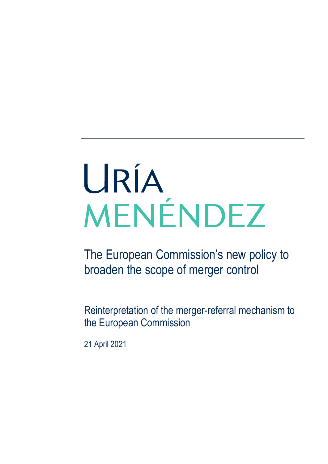# URÍA MENÉNDEZ

The European Commission's new policy to broaden the scope of merger control

Reinterpretation of the merger-referral mechanism to the European Commission

21 April 2021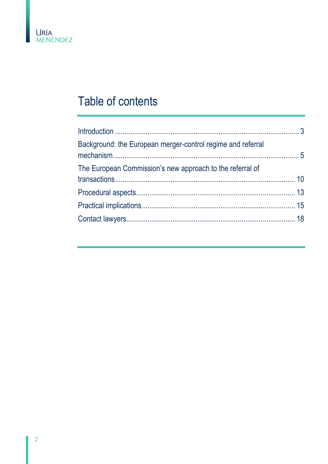

# Table of contents

| Background: the European merger-control regime and referral |  |
|-------------------------------------------------------------|--|
| The European Commission's new approach to the referral of   |  |
|                                                             |  |
|                                                             |  |
|                                                             |  |
|                                                             |  |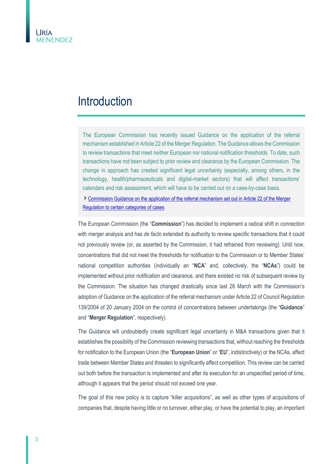## <span id="page-2-0"></span>Introduction

The European Commission has recently issued Guidance on the application of the referral mechanism established in Article 22 of the Merger Regulation. The Guidance allows the Commission to review transactions that meet neither European nor national notification thresholds. To date, such transactions have not been subject to prior review and clearance by the European Commission. The change in approach has created significant legal uncertainty (especially, among others, in the technology, health/pharmaceuticals and digital-market sectors) that will affect transactions' calendars and risk assessment, which will have to be carried out on a case-by-case basis.

[Commission Guidance on the application of the referral mechanism set out in Article 22 of the Merger](https://eur-lex.europa.eu/legal-content/EN/TXT/?uri=CELEX%3A52021XC0331%2801%29&print=true)  [Regulation to certain categories of cases](https://eur-lex.europa.eu/legal-content/EN/TXT/?uri=CELEX%3A52021XC0331%2801%29&print=true)

The European Commission (the "**Commission**") has decided to implement a radical shift in connection with merger analysis and has *de facto* extended its authority to review specific transactions that it could not previously review (or, as asserted by the Commission, it had refrained from reviewing). Until now, concentrations that did not meet the thresholds for notification to the Commission or to Member States' national competition authorities (individually an "**NCA**" and, collectively, the "**NCAs**") could be implemented without prior notification and clearance, and there existed no risk of subsequent review by the Commission. The situation has changed drastically since last 26 March with the Commission's adoption of Guidance on the application of the referral mechanism under Article 22 of Council Regulation 139/2004 of 20 January 2004 on the control of concentrations between undertakings (the "**Guidance**" and "**Merger Regulation**", respectively).

The Guidance will undoubtedly create significant legal uncertainty in M&A transactions given that it establishes the possibility of the Commission reviewing transactions that, without reaching the thresholds for notification to the European Union (the "**European Union**" or "**EU**", indistinctively) or the NCAs, affect trade between Member States and threaten to significantly affect competition. This review can be carried out both before the transaction is implemented and after its execution for an unspecified period of time, although it appears that the period should not exceed one year.

The goal of this new policy is to capture "killer acquisitions", as well as other types of acquisitions of companies that, despite having little or no turnover, either play, or have the potential to play, an important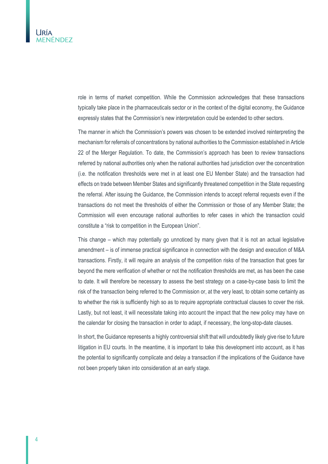

role in terms of market competition. While the Commission acknowledges that these transactions typically take place in the pharmaceuticals sector or in the context of the digital economy, the Guidance expressly states that the Commission's new interpretation could be extended to other sectors.

The manner in which the Commission's powers was chosen to be extended involved reinterpreting the mechanism for referrals of concentrations by national authorities to the Commission established in Article 22 of the Merger Regulation. To date, the Commission's approach has been to review transactions referred by national authorities only when the national authorities had jurisdiction over the concentration (i.e. the notification thresholds were met in at least one EU Member State) and the transaction had effects on trade between Member States and significantly threatened competition in the State requesting the referral. After issuing the Guidance, the Commission intends to accept referral requests even if the transactions do not meet the thresholds of either the Commission or those of any Member State; the Commission will even encourage national authorities to refer cases in which the transaction could constitute a "risk to competition in the European Union".

This change – which may potentially go unnoticed by many given that it is not an actual legislative amendment – is of immense practical significance in connection with the design and execution of M&A transactions. Firstly, it will require an analysis of the competition risks of the transaction that goes far beyond the mere verification of whether or not the notification thresholds are met, as has been the case to date. It will therefore be necessary to assess the best strategy on a case-by-case basis to limit the risk of the transaction being referred to the Commission or, at the very least, to obtain some certainty as to whether the risk is sufficiently high so as to require appropriate contractual clauses to cover the risk. Lastly, but not least, it will necessitate taking into account the impact that the new policy may have on the calendar for closing the transaction in order to adapt, if necessary, the long-stop-date clauses.

In short, the Guidance represents a highly controversial shift that will undoubtedly likely give rise to future litigation in EU courts. In the meantime, it is important to take this development into account, as it has the potential to significantly complicate and delay a transaction if the implications of the Guidance have not been properly taken into consideration at an early stage.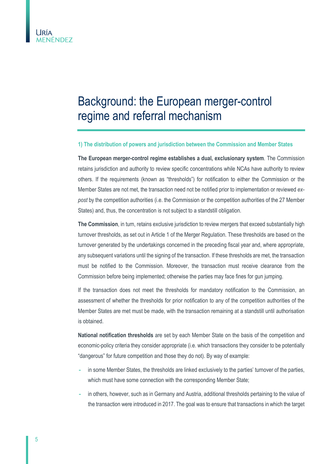

## <span id="page-4-0"></span>Background: the European merger-control regime and referral mechanism

#### **1) The distribution of powers and jurisdiction between the Commission and Member States**

**The European merger-control regime establishes a dual, exclusionary system**. The Commission retains jurisdiction and authority to review specific concentrations while NCAs have authority to review others. If the requirements (known as "thresholds") for notification to either the Commission or the Member States are not met, the transaction need not be notified prior to implementation or reviewed *expost* by the competition authorities (i.e. the Commission or the competition authorities of the 27 Member States) and, thus, the concentration is not subject to a standstill obligation.

**The Commission**, in turn, retains exclusive jurisdiction to review mergers that exceed substantially high turnover thresholds, as set out in Article 1 of the Merger Regulation. These thresholds are based on the turnover generated by the undertakings concerned in the preceding fiscal year and, where appropriate, any subsequent variations until the signing of the transaction. If these thresholds are met, the transaction must be notified to the Commission. Moreover, the transaction must receive clearance from the Commission before being implemented; otherwise the parties may face fines for gun jumping.

If the transaction does not meet the thresholds for mandatory notification to the Commission, an assessment of whether the thresholds for prior notification to any of the competition authorities of the Member States are met must be made, with the transaction remaining at a standstill until authorisation is obtained.

**National notification thresholds** are set by each Member State on the basis of the competition and economic-policy criteria they consider appropriate (i.e. which transactions they consider to be potentially "dangerous" for future competition and those they do not). By way of example:

- **-** in some Member States, the thresholds are linked exclusively to the parties' turnover of the parties, which must have some connection with the corresponding Member State;
- **-** in others, however, such as in Germany and Austria, additional thresholds pertaining to the value of the transaction were introduced in 2017. The goal was to ensure that transactions in which the target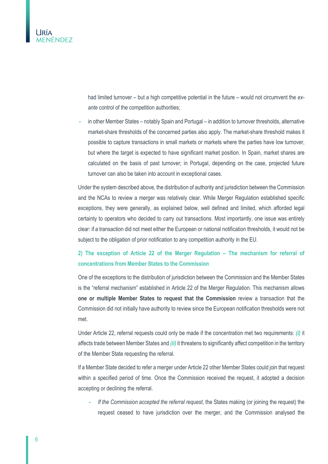

had limited turnover – but a high competitive potential in the future – would not circumvent the *exante* control of the competition authorities;

**-** in other Member States – notably Spain and Portugal – in addition to turnover thresholds, alternative market-share thresholds of the concerned parties also apply. The market-share threshold makes it possible to capture transactions in small markets or markets where the parties have low turnover, but where the target is expected to have significant market position. In Spain, market shares are calculated on the basis of past turnover; in Portugal, depending on the case, projected future turnover can also be taken into account in exceptional cases.

Under the system described above, the distribution of authority and jurisdiction between the Commission and the NCAs to review a merger was relatively clear. While Merger Regulation established specific exceptions, they were generally, as explained below, well defined and limited, which afforded legal certainty to operators who decided to carry out transactions. Most importantly, one issue was entirely clear: if a transaction did not meet either the European or national notification thresholds, it would not be subject to the obligation of prior notification to any competition authority in the EU.

#### **2) The exception of Article 22 of the Merger Regulation – The mechanism for referral of concentrations from Member States to the Commission**

One of the exceptions to the distribution of jurisdiction between the Commission and the Member States is the "referral mechanism" established in Article 22 of the Merger Regulation. This mechanism allows **one or multiple Member States to request that the Commission** review a transaction that the Commission did not initially have authority to review since the European notification thresholds were not met.

Under Article 22, referral requests could only be made if the concentration met two requirements: *(i)* it affects trade between Member States and *(ii)* it threatens to significantly affect competition in the territory of the Member State requesting the referral.

If a Member State decided to refer a merger under Article 22 other Member States could join that request within a specified period of time. Once the Commission received the request, it adopted a decision accepting or declining the referral.

**-** *If the Commission accepted the referral request*, the States making (or joining the request) the request ceased to have jurisdiction over the merger, and the Commission analysed the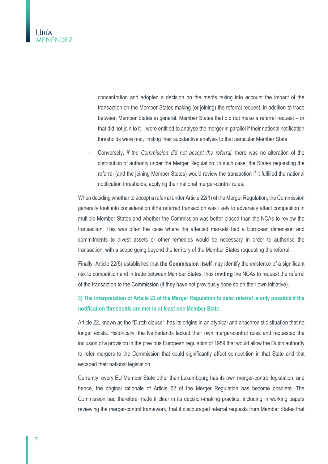

concentration and adopted a decision on the merits taking into account the impact of the transaction on the Member States making (or joining) the referral request, in addition to trade between Member States in general. Member States that did not make a referral request – or that did not join to it – were entitled to analyse the merger in parallel if their national notification thresholds were met, limiting their substantive analysis to that particular Member State.

**-** Conversely, *if the Commission did not accept the referral*, there was no alteration of the distribution of authority under the Merger Regulation. In such case, the States requesting the referral (and the joining Member States) would review the transaction if it fulfilled the national notification thresholds, applying their national merger-control rules.

When deciding whether to accept a referral under Article 22(1) of the Merger Regulation, the Commission generally took into consideration ifthe referred transaction was likely to adversely affect competition in multiple Member States and whether the Commission was better placed than the NCAs to review the transaction. This was often the case where the affected markets had a European dimension and commitments to divest assets or other remedies would be necessary in order to authorise the transaction, with a scope going beyond the territory of the Member States requesting the referral.

Finally, Article 22(5) establishes that **the Commission itself** may identify the existence of a significant risk to competition and in trade between Member States, thus **inviting** the NCAs to request the referral of the transaction to the Commission (if they have not previously done so on their own initiative).

#### **3) The interpretation of Article 22 of the Merger Regulation to date: referral is only possible if the notification thresholds are met in at least one Member State**

Article 22, known as the "Dutch clause", has its origins in an atypical and anachronistic situation that no longer exists. Historically, the Netherlands lacked their own merger-control rules and requested the inclusion of a provision in the previous European regulation of 1989 that would allow the Dutch authority to refer mergers to the Commission that could significantly affect competition in that State and that escaped their national legislation.

Currently, every EU Member State other than Luxembourg has its own merger-control legislation, and hence, the original rationale of Article 22 of the Merger Regulation has become obsolete. The Commission had therefore made it clear in its decision-making practice, including in working papers reviewing the merger-control framework, that it discouraged referral requests from Member States that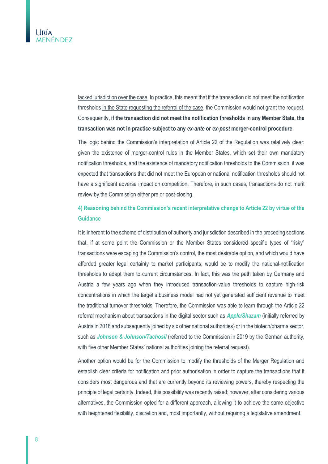lacked jurisdiction over the case. In practice, this meant that if the transaction did not meet the notification thresholds in the State requesting the referral of the case, the Commission would not grant the request. Consequently**, if the transaction did not meet the notification thresholds in any Member State, the transaction was not in practice subject to any** *ex-ante* **or** *ex-post* **merger-control procedure**.

The logic behind the Commission's interpretation of Article 22 of the Regulation was relatively clear: given the existence of merger-control rules in the Member States, which set their own mandatory notification thresholds, and the existence of mandatory notification thresholds to the Commission, it was expected that transactions that did not meet the European or national notification thresholds should not have a significant adverse impact on competition. Therefore, in such cases, transactions do not merit review by the Commission either pre or post-closing.

#### **4) Reasoning behind the Commission's recent interpretative change to Article 22 by virtue of the Guidance**

It is inherent to the scheme of distribution of authority and jurisdiction described in the preceding sections that, if at some point the Commission or the Member States considered specific types of "risky" transactions were escaping the Commission's control, the most desirable option, and which would have afforded greater legal certainty to market participants, would be to modify the national-notification thresholds to adapt them to current circumstances. In fact, this was the path taken by Germany and Austria a few years ago when they introduced transaction-value thresholds to capture high-risk concentrations in which the target's business model had not yet generated sufficient revenue to meet the traditional turnover thresholds. Therefore, the Commission was able to learn through the Article 22 referral mechanism about transactions in the digital sector such as *Apple/Shazam* (initially referred by Austria in 2018 and subsequently joined by six other national authorities) or in the biotech/pharma sector, such as *Johnson & Johnson/Tachosil* (referred to the Commission in 2019 by the German authority, with five other Member States' national authorities joining the referral request).

Another option would be for the Commission to modify the thresholds of the Merger Regulation and establish clear criteria for notification and prior authorisation in order to capture the transactions that it considers most dangerous and that are currently beyond its reviewing powers, thereby respecting the principle of legal certainty. Indeed, this possibility was recently raised; however, after considering various alternatives, the Commission opted for a different approach, allowing it to achieve the same objective with heightened flexibility, discretion and, most importantly, without requiring a legislative amendment.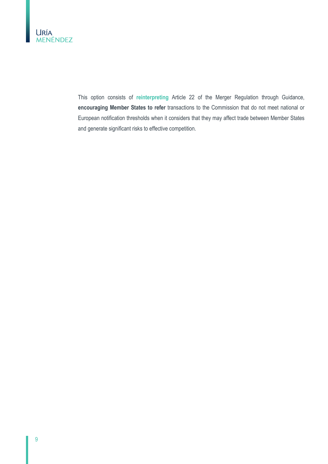

This option consists of **reinterpreting** Article 22 of the Merger Regulation through Guidance, **encouraging Member States to refer** transactions to the Commission that do not meet national or European notification thresholds when it considers that they may affect trade between Member States and generate significant risks to effective competition.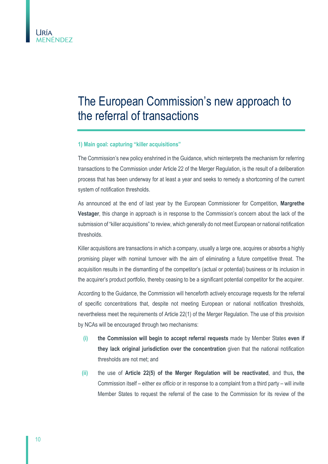

# <span id="page-9-0"></span>The European Commission's new approach to the referral of transactions

#### **1) Main goal: capturing "killer acquisitions"**

The Commission's new policy enshrined in the Guidance, which reinterprets the mechanism for referring transactions to the Commission under Article 22 of the Merger Regulation, is the result of a deliberation process that has been underway for at least a year and seeks to remedy a shortcoming of the current system of notification thresholds.

As announced at the end of last year by the European Commissioner for Competition, **Margrethe Vestager**, this change in approach is in response to the Commission's concern about the lack of the submission of "killer acquisitions" to review, which generally do not meet European or national notification thresholds.

Killer acquisitions are transactions in which a company, usually a large one, acquires or absorbs a highly promising player with nominal turnover with the aim of eliminating a future competitive threat. The acquisition results in the dismantling of the competitor's (actual or potential) business or its inclusion in the acquirer's product portfolio, thereby ceasing to be a significant potential competitor for the acquirer.

According to the Guidance, the Commission will henceforth actively encourage requests for the referral of specific concentrations that, despite not meeting European or national notification thresholds, nevertheless meet the requirements of Article 22(1) of the Merger Regulation. The use of this provision by NCAs will be encouraged through two mechanisms:

- **(i) the Commission will begin to accept referral requests** made by Member States **even if they lack original jurisdiction over the concentration** given that the national notification thresholds are not met; and
- **(ii)** the use of **Article 22(5) of the Merger Regulation will be reactivated**, and thus**, the**  Commission itself – either *ex officio* or in response to a complaint from a third party – will invite Member States to request the referral of the case to the Commission for its review of the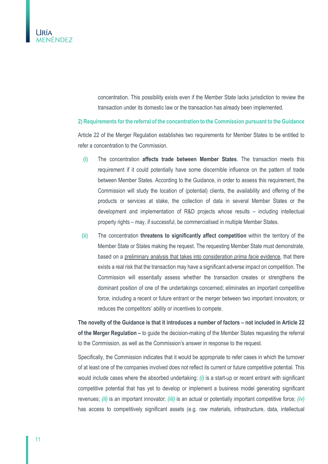

concentration. This possibility exists even if the Member State lacks jurisdiction to review the transaction under its domestic law or the transaction has already been implemented.

**2) Requirements for the referral of the concentration to the Commission pursuant to the Guidance**

Article 22 of the Merger Regulation establishes two requirements for Member States to be entitled to refer a concentration to the Commission.

- **(i)** The concentration **affects trade between Member States**. The transaction meets this requirement if it could potentially have some discernible influence on the pattern of trade between Member States. According to the Guidance, in order to assess this requirement, the Commission will study the location of (potential) clients, the availability and offering of the products or services at stake, the collection of data in several Member States or the development and implementation of R&D projects whose results – including intellectual property rights – may, if successful, be commercialised in multiple Member States.
- **(ii)** The concentration **threatens to significantly affect competition** within the territory of the Member State or States making the request. The requesting Member State must demonstrate, based on a preliminary analysis that takes into consideration *prima facie* evidence, that there exists a real risk that the transaction may have a significant adverse impact on competition. The Commission will essentially assess whether the transaction creates or strengthens the dominant position of one of the undertakings concerned; eliminates an important competitive force, including a recent or future entrant or the merger between two important innovators; or reduces the competitors' ability or incentives to compete.

**The novelty of the Guidance is that it introduces a number of factors – not included in Article 22 of the Merger Regulation –** to guide the decision-making of the Member States requesting the referral to the Commission, as well as the Commission's answer in response to the request.

Specifically, the Commission indicates that it would be appropriate to refer cases in which the turnover of at least one of the companies involved does not reflect its current or future competitive potential. This would include cases where the absorbed undertaking: *(i)* is a start-up or recent entrant with significant competitive potential that has yet to develop or implement a business model generating significant revenues; *(ii)* is an important innovator; *(iii)* is an actual or potentially important competitive force; *(iv)* has access to competitively significant assets (e.g. raw materials, infrastructure, data, intellectual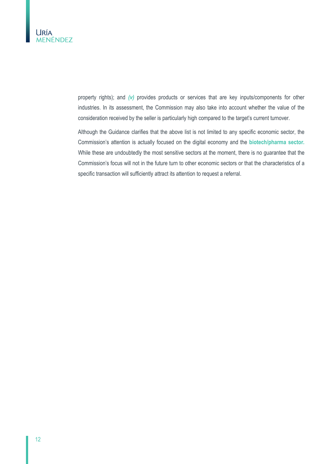

property rights); and *(v)* provides products or services that are key inputs/components for other industries. In its assessment, the Commission may also take into account whether the value of the consideration received by the seller is particularly high compared to the target's current turnover.

Although the Guidance clarifies that the above list is not limited to any specific economic sector, the Commission's attention is actually focused on the digital economy and the **biotech/pharma sector.** While these are undoubtedly the most sensitive sectors at the moment, there is no guarantee that the Commission's focus will not in the future turn to other economic sectors or that the characteristics of a specific transaction will sufficiently attract its attention to request a referral.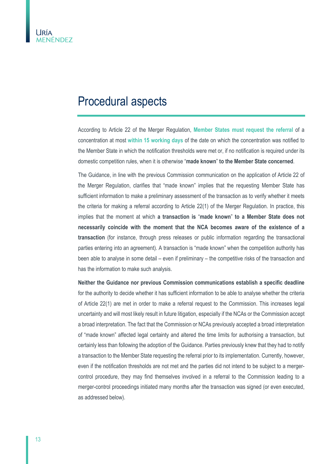### <span id="page-12-0"></span>Procedural aspects

According to Article 22 of the Merger Regulation, **Member States must request the referral** of a concentration at most **within 15 working days** of the date on which the concentration was notified to the Member State in which the notification thresholds were met or, if no notification is required under its domestic competition rules, when it is otherwise "**made known**" **to the Member State concerned**.

The Guidance, in line with the previous Commission communication on the application of Article 22 of the Merger Regulation, clarifies that "made known" implies that the requesting Member State has sufficient information to make a preliminary assessment of the transaction as to verify whether it meets the criteria for making a referral according to Article 22(1) of the Merger Regulation. In practice, this implies that the moment at which **a transaction is** "**made known**" **to a Member State does not necessarily coincide with the moment that the NCA becomes aware of the existence of a transaction** (for instance, through press releases or public information regarding the transactional parties entering into an agreement). A transaction is "made known" when the competition authority has been able to analyse in some detail – even if preliminary – the competitive risks of the transaction and has the information to make such analysis.

**Neither the Guidance nor previous Commission communications establish a specific deadline** for the authority to decide whether it has sufficient information to be able to analyse whether the criteria of Article 22(1) are met in order to make a referral request to the Commission. This increases legal uncertainty and will most likely result in future litigation, especially if the NCAs or the Commission accept a broad interpretation. The fact that the Commission or NCAs previously accepted a broad interpretation of "made known" affected legal certainty and altered the time limits for authorising a transaction, but certainly less than following the adoption of the Guidance. Parties previously knew that they had to notify a transaction to the Member State requesting the referral prior to its implementation. Currently, however, even if the notification thresholds are not met and the parties did not intend to be subject to a mergercontrol procedure, they may find themselves involved in a referral to the Commission leading to a merger-control proceedings initiated many months after the transaction was signed (or even executed, as addressed below).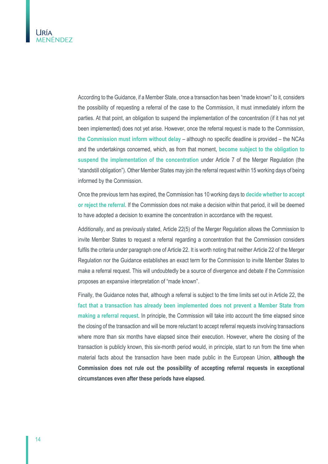

According to the Guidance, if a Member State, once a transaction has been "made known" to it, considers the possibility of requesting a referral of the case to the Commission, it must immediately inform the parties. At that point, an obligation to suspend the implementation of the concentration (if it has not yet been implemented) does not yet arise. However, once the referral request is made to the Commission, **the Commission must inform without delay** – although no specific deadline is provided – the NCAs and the undertakings concerned, which, as from that moment, **become subject to the obligation to suspend the implementation of the concentration** under Article 7 of the Merger Regulation (the "standstill obligation"). Other Member States may join the referral request within 15 working days of being informed by the Commission.

Once the previous term has expired, the Commission has 10 working days to **decide whether to accept or reject the referral**. If the Commission does not make a decision within that period, it will be deemed to have adopted a decision to examine the concentration in accordance with the request.

Additionally, and as previously stated, Article 22(5) of the Merger Regulation allows the Commission to invite Member States to request a referral regarding a concentration that the Commission considers fulfils the criteria under paragraph one of Article 22. It is worth noting that neither Article 22 of the Merger Regulation nor the Guidance establishes an exact term for the Commission to invite Member States to make a referral request. This will undoubtedly be a source of divergence and debate if the Commission proposes an expansive interpretation of "made known".

Finally, the Guidance notes that, although a referral is subject to the time limits set out in Article 22, the **fact that a transaction has already been implemented does not prevent a Member State from making a referral request**. In principle, the Commission will take into account the time elapsed since the closing of the transaction and will be more reluctant to accept referral requests involving transactions where more than six months have elapsed since their execution. However, where the closing of the transaction is publicly known, this six-month period would, in principle, start to run from the time when material facts about the transaction have been made public in the European Union, **although the Commission does not rule out the possibility of accepting referral requests in exceptional circumstances even after these periods have elapsed**.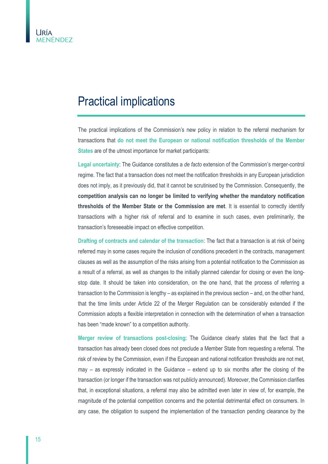## <span id="page-14-0"></span>Practical implications

The practical implications of the Commission's new policy in relation to the referral mechanism for transactions that **do not meet the European or national notification thresholds of the Member States** are of the utmost importance for market participants:

**Legal uncertainty**: The Guidance constitutes a *de facto* extension of the Commission's merger-control regime. The fact that a transaction does not meet the notification thresholds in any European jurisdiction does not imply, as it previously did, that it cannot be scrutinised by the Commission. Consequently, the **competition analysis can no longer be limited to verifying whether the mandatory notification thresholds of the Member State or the Commission are met**. It is essential to correctly identify transactions with a higher risk of referral and to examine in such cases, even preliminarily, the transaction's foreseeable impact on effective competition.

**Drafting of contracts and calendar of the transaction**: The fact that a transaction is at risk of being referred may in some cases require the inclusion of conditions precedent in the contracts, management clauses as well as the assumption of the risks arising from a potential notification to the Commission as a result of a referral, as well as changes to the initially planned calendar for closing or even the longstop date. It should be taken into consideration, on the one hand, that the process of referring a transaction to the Commission is lengthy – as explained in the previous section – and, on the other hand, that the time limits under Article 22 of the Merger Regulation can be considerably extended if the Commission adopts a flexible interpretation in connection with the determination of when a transaction has been "made known" to a competition authority.

**Merger review of transactions post-closing**: The Guidance clearly states that the fact that a transaction has already been closed does not preclude a Member State from requesting a referral. The risk of review by the Commission, even if the European and national notification thresholds are not met, may – as expressly indicated in the Guidance – extend up to six months after the closing of the transaction (or longer if the transaction was not publicly announced). Moreover, the Commission clarifies that, in exceptional situations, a referral may also be admitted even later in view of, for example, the magnitude of the potential competition concerns and the potential detrimental effect on consumers. In any case, the obligation to suspend the implementation of the transaction pending clearance by the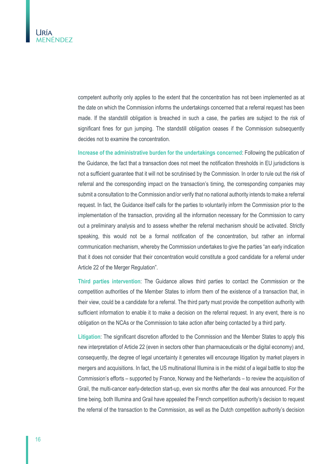

competent authority only applies to the extent that the concentration has not been implemented as at the date on which the Commission informs the undertakings concerned that a referral request has been made. If the standstill obligation is breached in such a case, the parties are subject to the risk of significant fines for gun jumping. The standstill obligation ceases if the Commission subsequently decides not to examine the concentration.

**Increase of the administrative burden for the undertakings concerned**: Following the publication of the Guidance, the fact that a transaction does not meet the notification thresholds in EU jurisdictions is not a sufficient guarantee that it will not be scrutinised by the Commission. In order to rule out the risk of referral and the corresponding impact on the transaction's timing, the corresponding companies may submit a consultation to the Commission and/or verify that no national authority intends to make a referral request. In fact, the Guidance itself calls for the parties to voluntarily inform the Commission prior to the implementation of the transaction, providing all the information necessary for the Commission to carry out a preliminary analysis and to assess whether the referral mechanism should be activated. Strictly speaking, this would not be a formal notification of the concentration, but rather an informal communication mechanism, whereby the Commission undertakes to give the parties "an early indication that it does not consider that their concentration would constitute a good candidate for a referral under Article 22 of the Merger Regulation".

**Third parties intervention**: The Guidance allows third parties to contact the Commission or the competition authorities of the Member States to inform them of the existence of a transaction that, in their view, could be a candidate for a referral. The third party must provide the competition authority with sufficient information to enable it to make a decision on the referral request. In any event, there is no obligation on the NCAs or the Commission to take action after being contacted by a third party.

**Litigation**: The significant discretion afforded to the Commission and the Member States to apply this new interpretation of Article 22 (even in sectors other than pharmaceuticals or the digital economy) and, consequently, the degree of legal uncertainty it generates will encourage litigation by market players in mergers and acquisitions. In fact, the US multinational Illumina is in the midst of a legal battle to stop the Commission's efforts – supported by France, Norway and the Netherlands – to review the acquisition of Grail, the multi-cancer early-detection start-up, even six months after the deal was announced. For the time being, both Illumina and Grail have appealed the French competition authority's decision to request the referral of the transaction to the Commission, as well as the Dutch competition authority's decision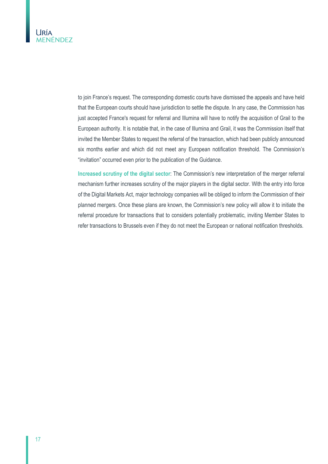

to join France's request. The corresponding domestic courts have dismissed the appeals and have held that the European courts should have jurisdiction to settle the dispute. In any case, the Commission has just accepted France's request for referral and Illumina will have to notify the acquisition of Grail to the European authority. It is notable that, in the case of Illumina and Grail, it was the Commission itself that invited the Member States to request the referral of the transaction, which had been publicly announced six months earlier and which did not meet any European notification threshold. The Commission's "invitation" occurred even prior to the publication of the Guidance.

**Increased scrutiny of the digital sector**: The Commission's new interpretation of the merger referral mechanism further increases scrutiny of the major players in the digital sector. With the entry into force of the Digital Markets Act, major technology companies will be obliged to inform the Commission of their planned mergers. Once these plans are known, the Commission's new policy will allow it to initiate the referral procedure for transactions that to considers potentially problematic, inviting Member States to refer transactions to Brussels even if they do not meet the European or national notification thresholds.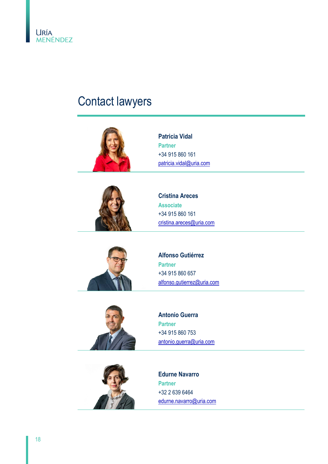

## <span id="page-17-0"></span>Contact lawyers





**Patricia Vidal Partner** +34 915 860 161 [patricia.vidal@uria.com](mailto:patricia.vidal@uria.com)

**Cristina Areces Associate** +34 915 860 161 [cristina.areces@uria.com](mailto:cristina.areces@uria.com)



**Alfonso Gutiérrez Partner** +34 915 860 657 [alfonso.gutierrez@uria.com](mailto:alfonso.gutierrez@uria.com)





**Antonio Guerra Partner** +34 915 860 753 [antonio.guerra@uria.com](mailto:antonio.guerra@uria.com)

**Edurne Navarro Partner** +32 2 639 6464 [edurne.navarro@uria.com](mailto:edurne.navarro@uria.com)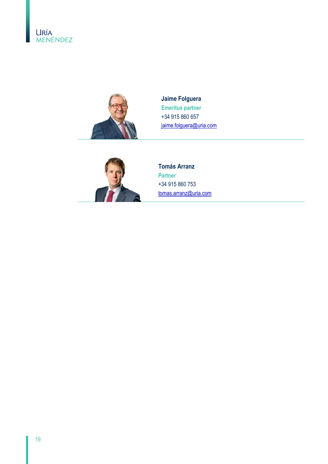



**Jaime Folguera Emeritus partner** +34 915 860 657 [jaime.folguera@uria.com](mailto:jaime.folguera@uria.com)



**Tomás Arranz Partner** +34 915 860 753 [tomas.arranz@uria.com](mailto:tomas.arranz@uria.com)